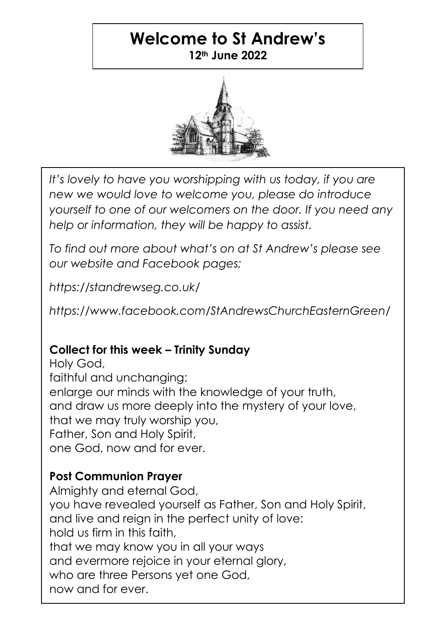# **Welcome to St Andrew's 12th June 2022**



*It's lovely to have you worshipping with us today, if you are new we would love to welcome you, please do introduce yourself to one of our welcomers on the door. If you need any help or information, they will be happy to assist.*

*To find out more about what's on at St Andrew's please see our website and Facebook pages;*

*https://standrewseg.co.uk/*

*https://www.facebook.com/StAndrewsChurchEasternGreen/*

# **Collect for this week – Trinity Sunday**

Holy God, faithful and unchanging: enlarge our minds with the knowledge of your truth, and draw us more deeply into the mystery of your love, that we may truly worship you, Father, Son and Holy Spirit, one God, now and for ever.

# **Post Communion Prayer**

Almighty and eternal God, you have revealed yourself as Father, Son and Holy Spirit, and live and reian in the perfect unity of love: hold us firm in this faith, that we may know you in all your ways and evermore rejoice in your eternal glory, who are three Persons yet one God, now and for ever.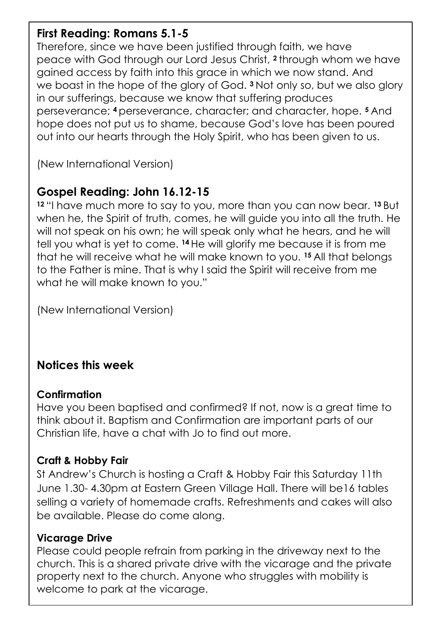### **First Reading: Romans 5.1-5**

Therefore, since we have been justified through faith, we have peace with God through our Lord Jesus Christ, **<sup>2</sup>** through whom we have gained access by faith into this grace in which we now stand. And we boast in the hope of the glory of God. **<sup>3</sup>** Not only so, but we also glory in our sufferings, because we know that suffering produces perseverance; **<sup>4</sup>** perseverance, character; and character, hope. **<sup>5</sup>** And hope does not put us to shame, because God's love has been poured out into our hearts through the Holy Spirit, who has been given to us.

(New International Version)

# **Gospel Reading: John 16.12-15**

**<sup>12</sup>** "I have much more to say to you, more than you can now bear. **<sup>13</sup>** But when he, the Spirit of truth, comes, he will guide you into all the truth. He will not speak on his own; he will speak only what he hears, and he will tell you what is yet to come. **<sup>14</sup>** He will glorify me because it is from me that he will receive what he will make known to you. **<sup>15</sup>** All that belongs to the Father is mine. That is why I said the Spirit will receive from me what he will make known to you."

(New International Version)

# **Notices this week**

#### **Confirmation**

Have you been baptised and confirmed? If not, now is a great time to think about it. Baptism and Confirmation are important parts of our Christian life, have a chat with Jo to find out more.

## **Craft & Hobby Fair**

St Andrew's Church is hosting a Craft & Hobby Fair this Saturday 11th June 1.30- 4.30pm at Eastern Green Village Hall. There will be16 tables selling a variety of homemade crafts. Refreshments and cakes will also be available. Please do come along.

#### **Vicarage Drive**

Please could people refrain from parking in the driveway next to the church. This is a shared private drive with the vicarage and the private property next to the church. Anyone who struggles with mobility is welcome to park at the vicarage.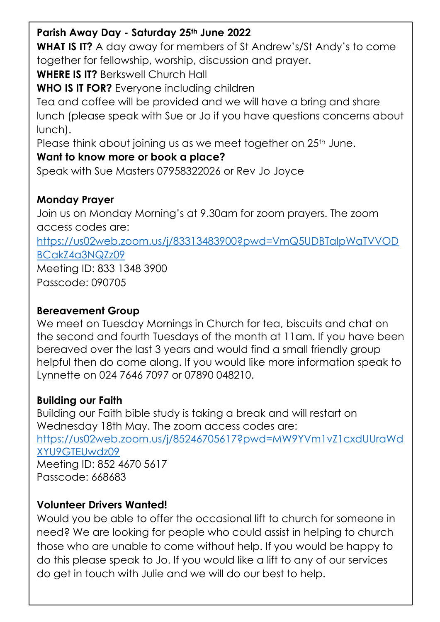#### **Parish Away Day - Saturday 25th June 2022**

**WHAT IS IT?** A day away for members of St Andrew's/St Andy's to come together for fellowship, worship, discussion and prayer.

**WHERE IS IT?** Berkswell Church Hall

**WHO IS IT FOR?** Everyone including children

Tea and coffee will be provided and we will have a bring and share lunch (please speak with Sue or Jo if you have questions concerns about lunch).

Please think about joining us as we meet together on 25<sup>th</sup> June.

#### **Want to know more or book a place?**

Speak with Sue Masters 07958322026 or Rev Jo Joyce

#### **Monday Prayer**

Join us on Monday Morning's at 9.30am for zoom prayers. The zoom access codes are:

[https://us02web.zoom.us/j/83313483900?pwd=VmQ5UDBTalpWaTVVOD](https://us02web.zoom.us/j/83313483900?pwd=VmQ5UDBTalpWaTVVODBCakZ4a3NQZz09) [BCakZ4a3NQZz09](https://us02web.zoom.us/j/83313483900?pwd=VmQ5UDBTalpWaTVVODBCakZ4a3NQZz09)

Meeting ID: 833 1348 3900 Passcode: 090705

#### **Bereavement Group**

We meet on Tuesday Mornings in Church for tea, biscuits and chat on the second and fourth Tuesdays of the month at 11am. If you have been bereaved over the last 3 years and would find a small friendly group helpful then do come along. If you would like more information speak to Lynnette on 024 7646 7097 or 07890 048210.

## **Building our Faith**

Building our Faith bible study is taking a break and will restart on Wednesday 18th May. The zoom access codes are: [https://us02web.zoom.us/j/85246705617?pwd=MW9YVm1vZ1cxdUUraWd](https://us02web.zoom.us/j/85246705617?pwd=MW9YVm1vZ1cxdUUraWdXYU9GTEUwdz09) [XYU9GTEUwdz09](https://us02web.zoom.us/j/85246705617?pwd=MW9YVm1vZ1cxdUUraWdXYU9GTEUwdz09) Meeting ID: 852 4670 5617 Passcode: 668683

## **Volunteer Drivers Wanted!**

Would you be able to offer the occasional lift to church for someone in need? We are looking for people who could assist in helping to church those who are unable to come without help. If you would be happy to do this please speak to Jo. If you would like a lift to any of our services do get in touch with Julie and we will do our best to help.